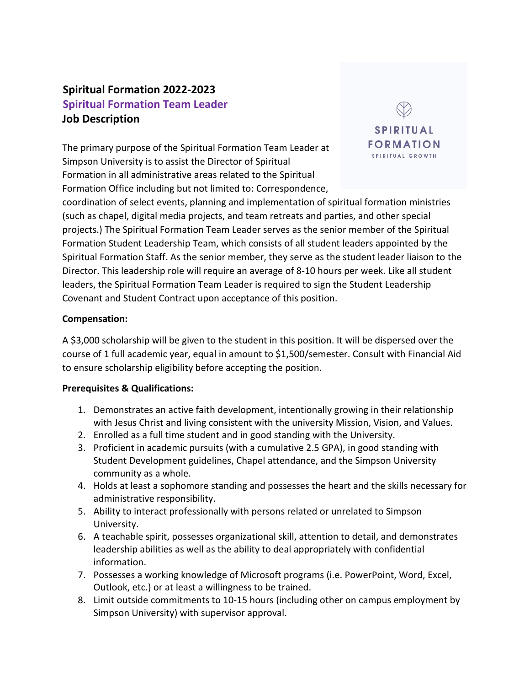# **Spiritual Formation 2022-2023 Spiritual Formation Team Leader Job Description**

The primary purpose of the Spiritual Formation Team Leader at Simpson University is to assist the Director of Spiritual Formation in all administrative areas related to the Spiritual Formation Office including but not limited to: Correspondence,



coordination of select events, planning and implementation of spiritual formation ministries (such as chapel, digital media projects, and team retreats and parties, and other special projects.) The Spiritual Formation Team Leader serves as the senior member of the Spiritual Formation Student Leadership Team, which consists of all student leaders appointed by the Spiritual Formation Staff. As the senior member, they serve as the student leader liaison to the Director. This leadership role will require an average of 8-10 hours per week. Like all student leaders, the Spiritual Formation Team Leader is required to sign the Student Leadership Covenant and Student Contract upon acceptance of this position.

#### **Compensation:**

A \$3,000 scholarship will be given to the student in this position. It will be dispersed over the course of 1 full academic year, equal in amount to \$1,500/semester. Consult with Financial Aid to ensure scholarship eligibility before accepting the position.

#### **Prerequisites & Qualifications:**

- 1. Demonstrates an active faith development, intentionally growing in their relationship with Jesus Christ and living consistent with the university Mission, Vision, and Values.
- 2. Enrolled as a full time student and in good standing with the University.
- 3. Proficient in academic pursuits (with a cumulative 2.5 GPA), in good standing with Student Development guidelines, Chapel attendance, and the Simpson University community as a whole.
- 4. Holds at least a sophomore standing and possesses the heart and the skills necessary for administrative responsibility.
- 5. Ability to interact professionally with persons related or unrelated to Simpson University.
- 6. A teachable spirit, possesses organizational skill, attention to detail, and demonstrates leadership abilities as well as the ability to deal appropriately with confidential information.
- 7. Possesses a working knowledge of Microsoft programs (i.e. PowerPoint, Word, Excel, Outlook, etc.) or at least a willingness to be trained.
- 8. Limit outside commitments to 10-15 hours (including other on campus employment by Simpson University) with supervisor approval.